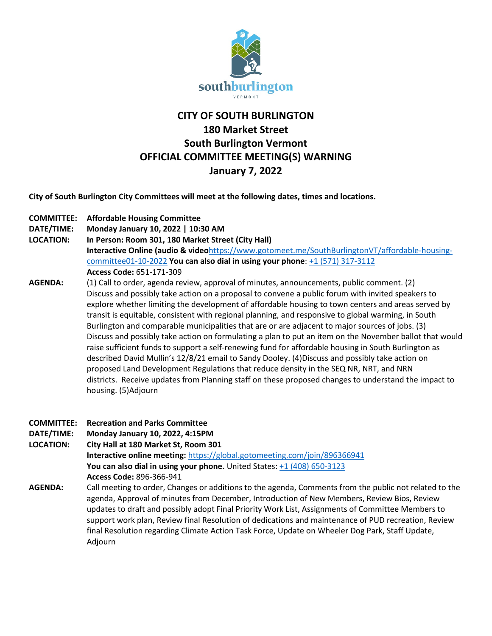

## **CITY OF SOUTH BURLINGTON 180 Market Street South Burlington Vermont OFFICIAL COMMITTEE MEETING(S) WARNING January 7, 2022**

**City of South Burlington City Committees will meet at the following dates, times and locations.** 

- **COMMITTEE: Affordable Housing Committee**
- **DATE/TIME: Monday January 10, 2022 | 10:30 AM**
- **LOCATION: In Person: Room 301, 180 Market Street (City Hall) Interactive Online (audio & video**[https://www.gotomeet.me/SouthBurlingtonVT/affordable-housing](https://www.gotomeet.me/SouthBurlingtonVT/affordable-housing-committee01-10-2022)[committee01-10-2022](https://www.gotomeet.me/SouthBurlingtonVT/affordable-housing-committee01-10-2022) **You can also dial in using your phone**: [+1 \(571\) 317-3112](tel:+15713173112,,651171309) **Access Code:** 651-171-309
- **AGENDA:** (1) Call to order, agenda review, approval of minutes, announcements, public comment. (2) Discuss and possibly take action on a proposal to convene a public forum with invited speakers to explore whether limiting the development of affordable housing to town centers and areas served by transit is equitable, consistent with regional planning, and responsive to global warming, in South Burlington and comparable municipalities that are or are adjacent to major sources of jobs. (3) Discuss and possibly take action on formulating a plan to put an item on the November ballot that would raise sufficient funds to support a self-renewing fund for affordable housing in South Burlington as described David Mullin's 12/8/21 email to Sandy Dooley. (4)Discuss and possibly take action on proposed Land Development Regulations that reduce density in the SEQ NR, NRT, and NRN districts. Receive updates from Planning staff on these proposed changes to understand the impact to housing. (5)Adjourn
- **COMMITTEE: Recreation and Parks Committee DATE/TIME: Monday January 10, 2022, 4:15PM LOCATION: City Hall at 180 Market St, Room 301 Interactive online meeting:** <https://global.gotomeeting.com/join/896366941> **You can also dial in using your phone.** United States: [+1 \(408\) 650-3123](tel:+14086503123,,896366941) **Access Code:** 896-366-941 **AGENDA:** Call meeting to order, Changes or additions to the agenda, Comments from the public not related to the agenda, Approval of minutes from December, Introduction of New Members, Review Bios, Review updates to draft and possibly adopt Final Priority Work List, Assignments of Committee Members to support work plan, Review final Resolution of dedications and maintenance of PUD recreation, Review final Resolution regarding Climate Action Task Force, Update on Wheeler Dog Park, Staff Update, Adjourn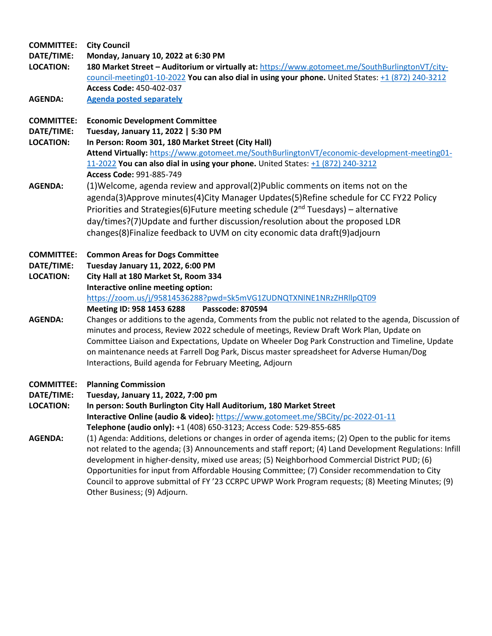**COMMITTEE: City Council DATE/TIME: Monday, January 10, 2022 at 6:30 PM LOCATION: 180 Market Street – Auditorium or virtually at:** [https://www.gotomeet.me/SouthBurlingtonVT/city](https://www.gotomeet.me/SouthBurlingtonVT/city-council-meeting01-10-2022)[council-meeting01-10-2022](https://www.gotomeet.me/SouthBurlingtonVT/city-council-meeting01-10-2022) **You can also dial in using your phone.** United States: [+1 \(872\) 240-3212](tel:+18722403212,,450402037) **Access Code:** 450-402-037 **AGENDA: [Agenda posted separately](https://sbvt-records.info/WebLink/DocView.aspx?id=270723&dbid=0&repo=SBurl) COMMITTEE: Economic Development Committee DATE/TIME: Tuesday, January 11, 2022 | 5:30 PM LOCATION: In Person: Room 301, 180 Market Street (City Hall) Attend Virtually:** [https://www.gotomeet.me/SouthBurlingtonVT/economic-development-meeting01-](https://www.gotomeet.me/SouthBurlingtonVT/economic-development-meeting01-11-2022) [11-2022](https://www.gotomeet.me/SouthBurlingtonVT/economic-development-meeting01-11-2022) **You can also dial in using your phone.** United States: [+1 \(872\) 240-3212](tel:+18722403212,,991885749) **Access Code:** 991-885-749 **AGENDA:** (1)Welcome, agenda review and approval(2)Public comments on items not on the agenda(3)Approve minutes(4)City Manager Updates(5)Refine schedule for CC FY22 Policy Priorities and Strategies(6)Future meeting schedule ( $2<sup>nd</sup> Tuesdays$ ) – alternative day/times?(7)Update and further discussion/resolution about the proposed LDR changes(8)Finalize feedback to UVM on city economic data draft(9)adjourn **COMMITTEE: Common Areas for Dogs Committee DATE/TIME: Tuesday January 11, 2022, 6:00 PM LOCATION: City Hall at 180 Market St, Room 334 Interactive online meeting option:**  <https://zoom.us/j/95814536288?pwd=Sk5mVG1ZUDNQTXNlNE1NRzZHRllpQT09> **Meeting ID: 958 1453 6288 Passcode: 870594 AGENDA:** Changes or additions to the agenda, Comments from the public not related to the agenda, Discussion of minutes and process, Review 2022 schedule of meetings, Review Draft Work Plan, Update on Committee Liaison and Expectations, Update on Wheeler Dog Park Construction and Timeline, Update on maintenance needs at Farrell Dog Park, Discus master spreadsheet for Adverse Human/Dog Interactions, Build agenda for February Meeting, Adjourn **COMMITTEE: Planning Commission DATE/TIME: Tuesday, January 11, 2022, 7:00 pm LOCATION: In person: South Burlington City Hall Auditorium, 180 Market Street Interactive Online (audio & video):** <https://www.gotomeet.me/SBCity/pc-2022-01-11> **Telephone (audio only):** +1 (408) 650-3123; Access Code: 529-855-685 **AGENDA:** (1) Agenda: Additions, deletions or changes in order of agenda items; (2) Open to the public for items not related to the agenda; (3) Announcements and staff report; (4) Land Development Regulations: Infill development in higher-density, mixed use areas; (5) Neighborhood Commercial District PUD; (6)

Opportunities for input from Affordable Housing Committee; (7) Consider recommendation to City Council to approve submittal of FY '23 CCRPC UPWP Work Program requests; (8) Meeting Minutes; (9) Other Business; (9) Adjourn.